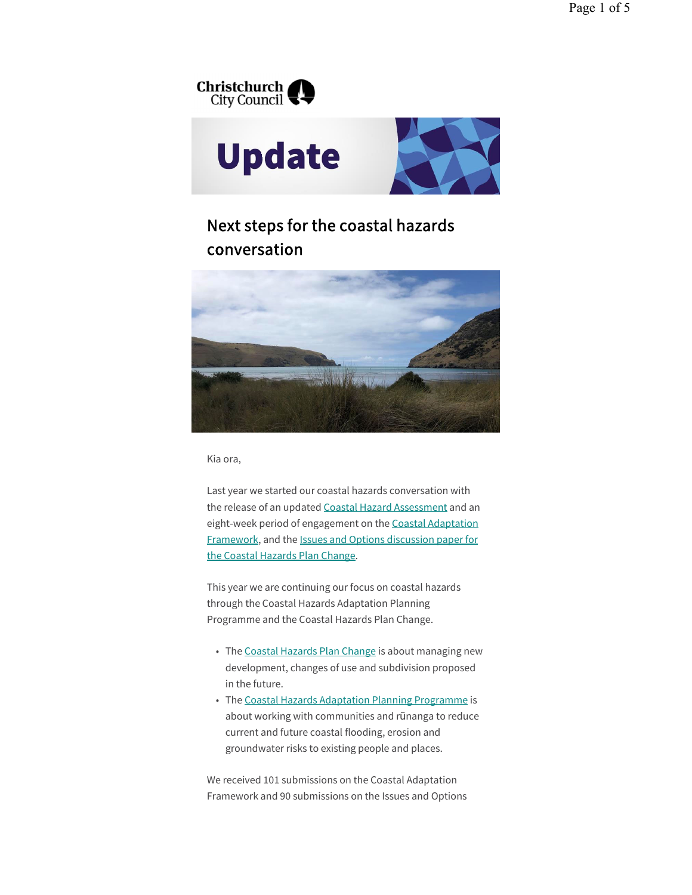

# Next steps for the coastal hazards conversation



Kia ora,

Last year we started our coastal hazards conversation with the release of an updated Coastal Hazard Assessment and an eight-week period of engagement on the Coastal Adaptation Framework, and the Issues and Options discussion paper for the Coastal Hazards Plan Change.

This year we are continuing our focus on coastal hazards through the Coastal Hazards Adaptation Planning Programme and the Coastal Hazards Plan Change.

- The Coastal Hazards Plan Change is about managing new development, changes of use and subdivision proposed in the future.
- The Coastal Hazards Adaptation Planning Programme is about working with communities and rūnanga to reduce current and future coastal flooding, erosion and groundwater risks to existing people and places.

We received 101 submissions on the Coastal Adaptation Framework and 90 submissions on the Issues and Options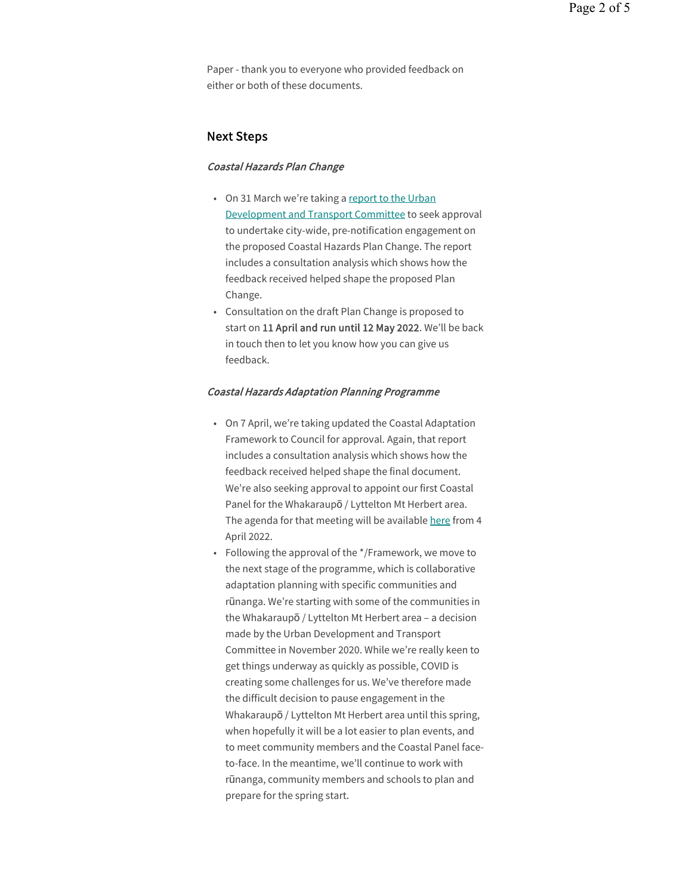Paper - thank you to everyone who provided feedback on either or both of these documents.

# Next Steps

#### Coastal Hazards Plan Change

- On 31 March we're taking a report to the Urban Development and Transport Committee to seek approval to undertake city-wide, pre-notification engagement on the proposed Coastal Hazards Plan Change. The report includes a consultation analysis which shows how the feedback received helped shape the proposed Plan Change.
- Consultation on the draft Plan Change is proposed to start on 11 April and run until 12 May 2022. We'll be back in touch then to let you know how you can give us feedback.

#### Coastal Hazards Adaptation Planning Programme

- On 7 April, we're taking updated the Coastal Adaptation Framework to Council for approval. Again, that report includes a consultation analysis which shows how the feedback received helped shape the final document. We're also seeking approval to appoint our first Coastal Panel for the Whakaraupō / Lyttelton Mt Herbert area. The agenda for that meeting will be available here from 4 April 2022.
- Following the approval of the \*/Framework, we move to the next stage of the programme, which is collaborative adaptation planning with specific communities and rūnanga. We're starting with some of the communities in the Whakaraupō / Lyttelton Mt Herbert area – a decision made by the Urban Development and Transport Committee in November 2020. While we're really keen to get things underway as quickly as possible, COVID is creating some challenges for us. We've therefore made the difficult decision to pause engagement in the Whakaraupō / Lyttelton Mt Herbert area until this spring, when hopefully it will be a lot easier to plan events, and to meet community members and the Coastal Panel faceto-face. In the meantime, we'll continue to work with rūnanga, community members and schools to plan and prepare for the spring start.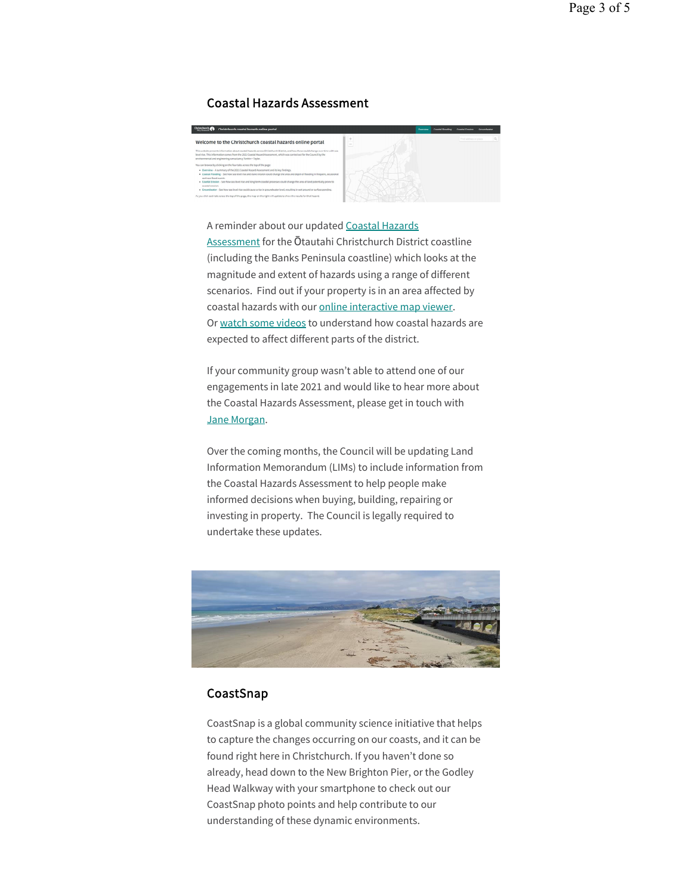# Coastal Hazards Assessment

| Christchurch<br>Christchurch coastal hazards online portal                                                                                                                                                                                                                                                                                                                                               |                          | Overview | <b>Coastal Flooding</b> | <b>Coastal Frosion</b> | <b>Groundwater</b> |          |
|----------------------------------------------------------------------------------------------------------------------------------------------------------------------------------------------------------------------------------------------------------------------------------------------------------------------------------------------------------------------------------------------------------|--------------------------|----------|-------------------------|------------------------|--------------------|----------|
| Welcome to the Christchurch coastal hazards online portal                                                                                                                                                                                                                                                                                                                                                | ×<br><b>Service</b><br>_ |          |                         | Find address or place  |                    | $\alpha$ |
| This website presents information about coastal hazards across Christchurch District, and how these could change over time with sea<br>level rise. This information comes from the 2021 Coastal Hazard Assessment, which was carried out for the Council by the<br>environmental and engineering consultancy Tonkin . Taylor,<br>You can browse by clicking on the four tabs across the top of the pape: |                          |          |                         |                        |                    |          |
| . Overview - A summary of the 2021 Coastal Hazard Assessment and its key findings.<br>. Coastal Flooding - See how sea level rise and dune erosion could change the area and depth of flooding in frequent, occasional<br>and rare flood avenue.                                                                                                                                                         |                          |          |                         |                        |                    |          |
| . Coastal Erosion - See how sea level rise and long-term coastal processes could change the area of land potentially prone to<br>coastal erosion.<br>· Groundwater - See how sea level rise could cause a rise in proundwater level, resulting in wet ground or surface ponding.                                                                                                                         |                          |          |                         |                        |                    |          |
| As you click each tab across the top of the page, the map on the right will update to show the results for that hazard.                                                                                                                                                                                                                                                                                  |                          |          |                         |                        |                    |          |

A reminder about our updated Coastal Hazards Assessment for the Ōtautahi Christchurch District coastline (including the Banks Peninsula coastline) which looks at the magnitude and extent of hazards using a range of different scenarios. Find out if your property is in an area affected by coastal hazards with our online interactive map viewer. Or watch some videos to understand how coastal hazards are expected to affect different parts of the district.

If your community group wasn't able to attend one of our engagements in late 2021 and would like to hear more about the Coastal Hazards Assessment, please get in touch with Jane Morgan.

Over the coming months, the Council will be updating Land Information Memorandum (LIMs) to include information from the Coastal Hazards Assessment to help people make informed decisions when buying, building, repairing or investing in property. The Council is legally required to undertake these updates.



# **CoastSnap**

CoastSnap is a global community science initiative that helps to capture the changes occurring on our coasts, and it can be found right here in Christchurch. If you haven't done so already, head down to the New Brighton Pier, or the Godley Head Walkway with your smartphone to check out our CoastSnap photo points and help contribute to our understanding of these dynamic environments.